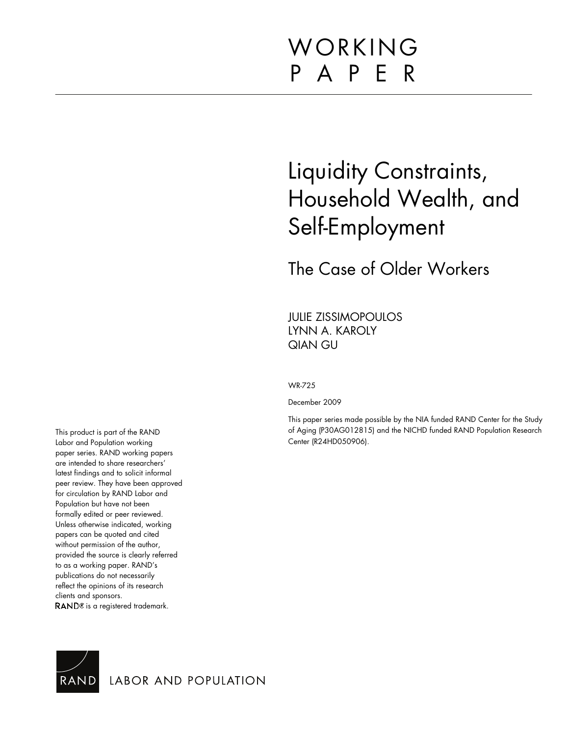# WORKING P A P E R

# Liquidity Constraints, Household Wealth, and Self-Employment

The Case of Older Workers

JULIE ZISSIMOPOULOS LYNN A. KAROLY QIAN GU

WR-725

December 2009

This paper series made possible by the NIA funded RAND Center for the Study of Aging (P30AG012815) and the NICHD funded RAND Population Research Center (R24HD050906).

This product is part of the RAND Labor and Population working paper series. RAND working papers are intended to share researchers' latest findings and to solicit informal peer review. They have been approved for circulation by RAND Labor and Population but have not been formally edited or peer reviewed. Unless otherwise indicated, working papers can be quoted and cited without permission of the author, provided the source is clearly referred to as a working paper. RAND's publications do not necessarily reflect the opinions of its research clients and sponsors. RAND<sup>®</sup> is a registered trademark.



LABOR AND POPULATION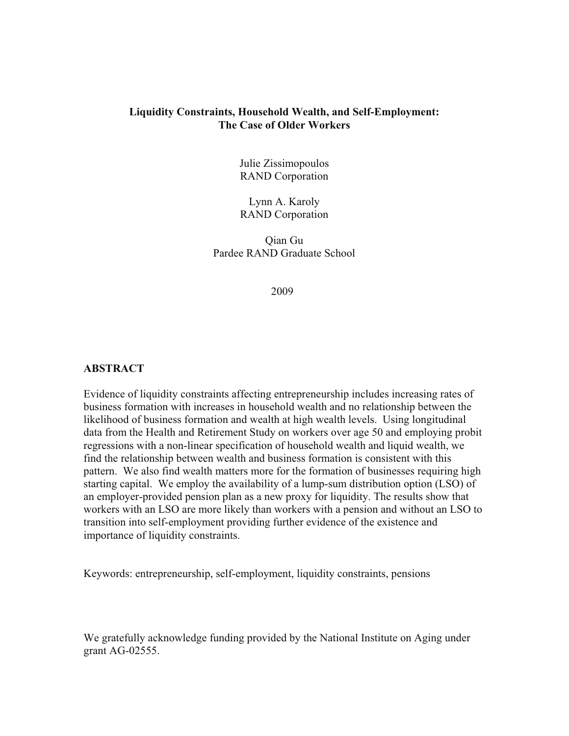## **Liquidity Constraints, Household Wealth, and Self-Employment: The Case of Older Workers**

Julie Zissimopoulos RAND Corporation

Lynn A. Karoly RAND Corporation

Qian Gu Pardee RAND Graduate School

2009

# **ABSTRACT**

Evidence of liquidity constraints affecting entrepreneurship includes increasing rates of business formation with increases in household wealth and no relationship between the likelihood of business formation and wealth at high wealth levels. Using longitudinal data from the Health and Retirement Study on workers over age 50 and employing probit regressions with a non-linear specification of household wealth and liquid wealth, we find the relationship between wealth and business formation is consistent with this pattern. We also find wealth matters more for the formation of businesses requiring high starting capital. We employ the availability of a lump-sum distribution option (LSO) of an employer-provided pension plan as a new proxy for liquidity. The results show that workers with an LSO are more likely than workers with a pension and without an LSO to transition into self-employment providing further evidence of the existence and importance of liquidity constraints.

Keywords: entrepreneurship, self-employment, liquidity constraints, pensions

We gratefully acknowledge funding provided by the National Institute on Aging under grant AG-02555.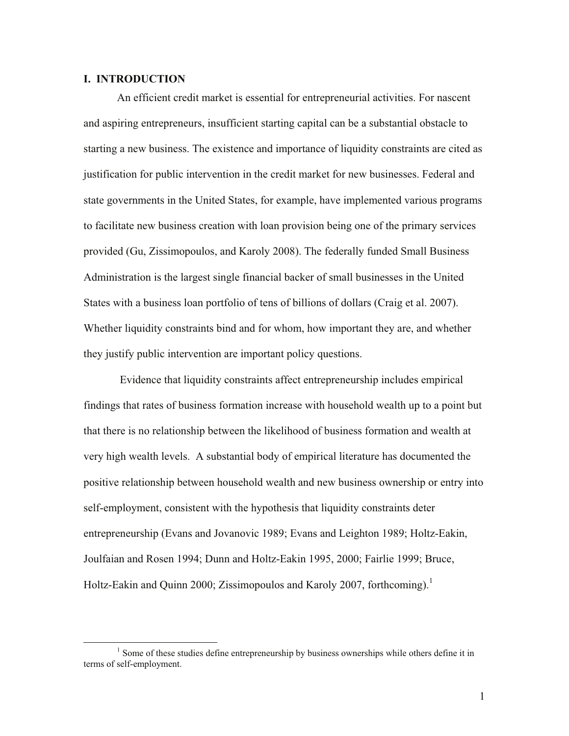# **I. INTRODUCTION**

An efficient credit market is essential for entrepreneurial activities. For nascent and aspiring entrepreneurs, insufficient starting capital can be a substantial obstacle to starting a new business. The existence and importance of liquidity constraints are cited as justification for public intervention in the credit market for new businesses. Federal and state governments in the United States, for example, have implemented various programs to facilitate new business creation with loan provision being one of the primary services provided (Gu, Zissimopoulos, and Karoly 2008). The federally funded Small Business Administration is the largest single financial backer of small businesses in the United States with a business loan portfolio of tens of billions of dollars (Craig et al. 2007). Whether liquidity constraints bind and for whom, how important they are, and whether they justify public intervention are important policy questions.

 Evidence that liquidity constraints affect entrepreneurship includes empirical findings that rates of business formation increase with household wealth up to a point but that there is no relationship between the likelihood of business formation and wealth at very high wealth levels. A substantial body of empirical literature has documented the positive relationship between household wealth and new business ownership or entry into self-employment, consistent with the hypothesis that liquidity constraints deter entrepreneurship (Evans and Jovanovic 1989; Evans and Leighton 1989; Holtz-Eakin, Joulfaian and Rosen 1994; Dunn and Holtz-Eakin 1995, 2000; Fairlie 1999; Bruce, Holtz-Eakin and Quinn 2000; Zissimopoulos and Karoly 2007, forthcoming).<sup>1</sup>

<sup>&</sup>lt;sup>1</sup> Some of these studies define entrepreneurship by business ownerships while others define it in terms of self-employment.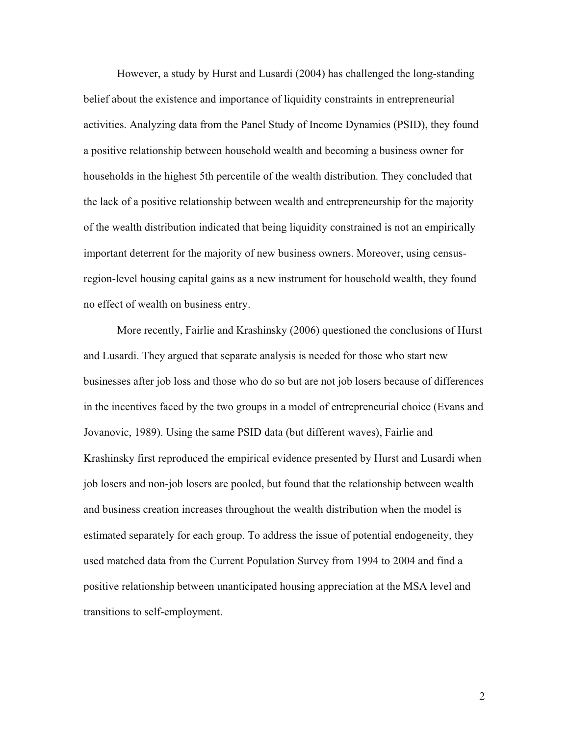However, a study by Hurst and Lusardi (2004) has challenged the long-standing belief about the existence and importance of liquidity constraints in entrepreneurial activities. Analyzing data from the Panel Study of Income Dynamics (PSID), they found a positive relationship between household wealth and becoming a business owner for households in the highest 5th percentile of the wealth distribution. They concluded that the lack of a positive relationship between wealth and entrepreneurship for the majority of the wealth distribution indicated that being liquidity constrained is not an empirically important deterrent for the majority of new business owners. Moreover, using censusregion-level housing capital gains as a new instrument for household wealth, they found no effect of wealth on business entry.

More recently, Fairlie and Krashinsky (2006) questioned the conclusions of Hurst and Lusardi. They argued that separate analysis is needed for those who start new businesses after job loss and those who do so but are not job losers because of differences in the incentives faced by the two groups in a model of entrepreneurial choice (Evans and Jovanovic, 1989). Using the same PSID data (but different waves), Fairlie and Krashinsky first reproduced the empirical evidence presented by Hurst and Lusardi when job losers and non-job losers are pooled, but found that the relationship between wealth and business creation increases throughout the wealth distribution when the model is estimated separately for each group. To address the issue of potential endogeneity, they used matched data from the Current Population Survey from 1994 to 2004 and find a positive relationship between unanticipated housing appreciation at the MSA level and transitions to self-employment.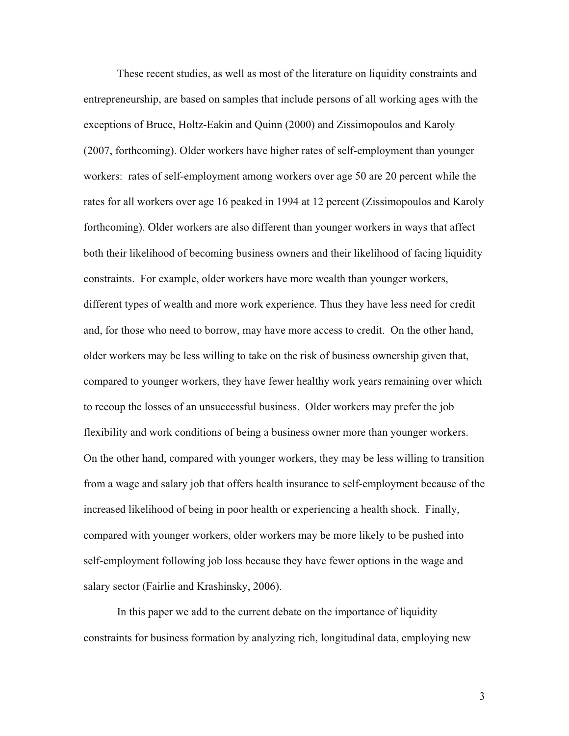These recent studies, as well as most of the literature on liquidity constraints and entrepreneurship, are based on samples that include persons of all working ages with the exceptions of Bruce, Holtz-Eakin and Quinn (2000) and Zissimopoulos and Karoly (2007, forthcoming). Older workers have higher rates of self-employment than younger workers: rates of self-employment among workers over age 50 are 20 percent while the rates for all workers over age 16 peaked in 1994 at 12 percent (Zissimopoulos and Karoly forthcoming). Older workers are also different than younger workers in ways that affect both their likelihood of becoming business owners and their likelihood of facing liquidity constraints. For example, older workers have more wealth than younger workers, different types of wealth and more work experience. Thus they have less need for credit and, for those who need to borrow, may have more access to credit. On the other hand, older workers may be less willing to take on the risk of business ownership given that, compared to younger workers, they have fewer healthy work years remaining over which to recoup the losses of an unsuccessful business. Older workers may prefer the job flexibility and work conditions of being a business owner more than younger workers. On the other hand, compared with younger workers, they may be less willing to transition from a wage and salary job that offers health insurance to self-employment because of the increased likelihood of being in poor health or experiencing a health shock. Finally, compared with younger workers, older workers may be more likely to be pushed into self-employment following job loss because they have fewer options in the wage and salary sector (Fairlie and Krashinsky, 2006).

In this paper we add to the current debate on the importance of liquidity constraints for business formation by analyzing rich, longitudinal data, employing new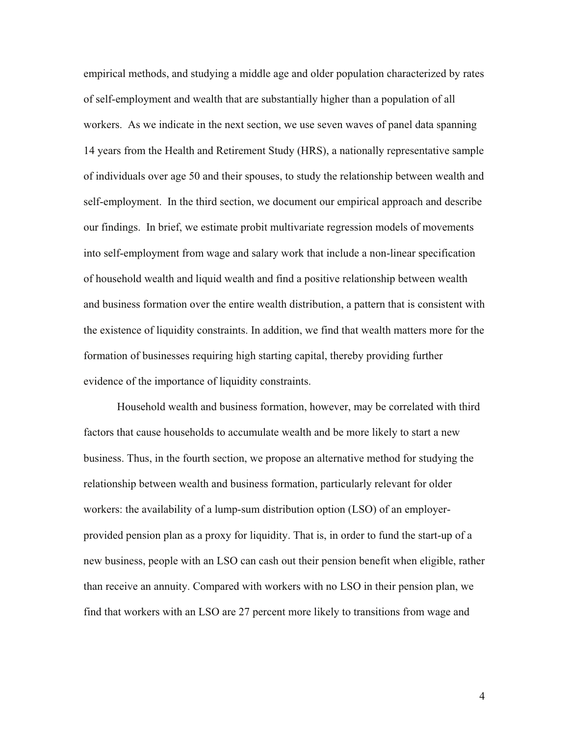empirical methods, and studying a middle age and older population characterized by rates of self-employment and wealth that are substantially higher than a population of all workers. As we indicate in the next section, we use seven waves of panel data spanning 14 years from the Health and Retirement Study (HRS), a nationally representative sample of individuals over age 50 and their spouses, to study the relationship between wealth and self-employment. In the third section, we document our empirical approach and describe our findings. In brief, we estimate probit multivariate regression models of movements into self-employment from wage and salary work that include a non-linear specification of household wealth and liquid wealth and find a positive relationship between wealth and business formation over the entire wealth distribution, a pattern that is consistent with the existence of liquidity constraints. In addition, we find that wealth matters more for the formation of businesses requiring high starting capital, thereby providing further evidence of the importance of liquidity constraints.

Household wealth and business formation, however, may be correlated with third factors that cause households to accumulate wealth and be more likely to start a new business. Thus, in the fourth section, we propose an alternative method for studying the relationship between wealth and business formation, particularly relevant for older workers: the availability of a lump-sum distribution option (LSO) of an employerprovided pension plan as a proxy for liquidity. That is, in order to fund the start-up of a new business, people with an LSO can cash out their pension benefit when eligible, rather than receive an annuity. Compared with workers with no LSO in their pension plan, we find that workers with an LSO are 27 percent more likely to transitions from wage and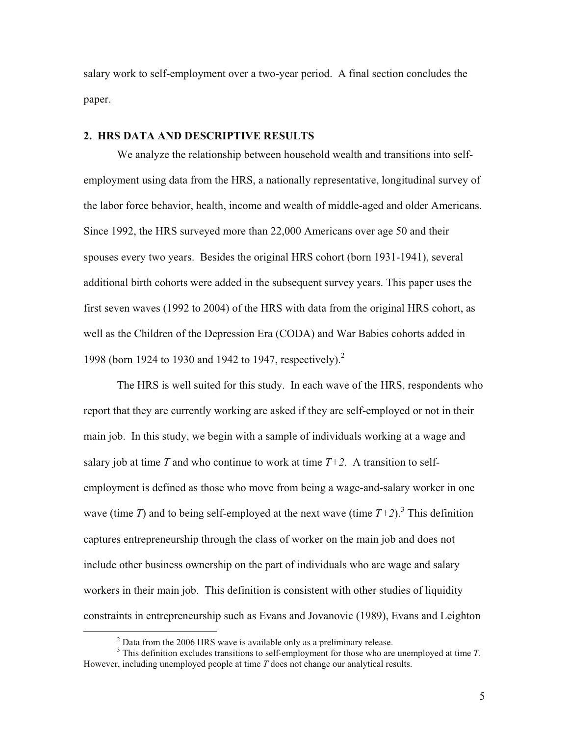salary work to self-employment over a two-year period. A final section concludes the paper.

## **2. HRS DATA AND DESCRIPTIVE RESULTS**

We analyze the relationship between household wealth and transitions into selfemployment using data from the HRS, a nationally representative, longitudinal survey of the labor force behavior, health, income and wealth of middle-aged and older Americans. Since 1992, the HRS surveyed more than 22,000 Americans over age 50 and their spouses every two years. Besides the original HRS cohort (born 1931-1941), several additional birth cohorts were added in the subsequent survey years. This paper uses the first seven waves (1992 to 2004) of the HRS with data from the original HRS cohort, as well as the Children of the Depression Era (CODA) and War Babies cohorts added in 1998 (born 1924 to 1930 and 1942 to 1947, respectively).<sup>2</sup>

The HRS is well suited for this study. In each wave of the HRS, respondents who report that they are currently working are asked if they are self-employed or not in their main job. In this study, we begin with a sample of individuals working at a wage and salary job at time *T* and who continue to work at time  $T+2$ . A transition to selfemployment is defined as those who move from being a wage-and-salary worker in one wave (time *T*) and to being self-employed at the next wave (time  $T+2$ ).<sup>3</sup> This definition captures entrepreneurship through the class of worker on the main job and does not include other business ownership on the part of individuals who are wage and salary workers in their main job. This definition is consistent with other studies of liquidity constraints in entrepreneurship such as Evans and Jovanovic (1989), Evans and Leighton

 $^{2}$  Data from the 2006 HRS wave is available only as a preliminary release.

This definition excludes transitions to self-employment for those who are unemployed at time *T*. However, including unemployed people at time *T* does not change our analytical results.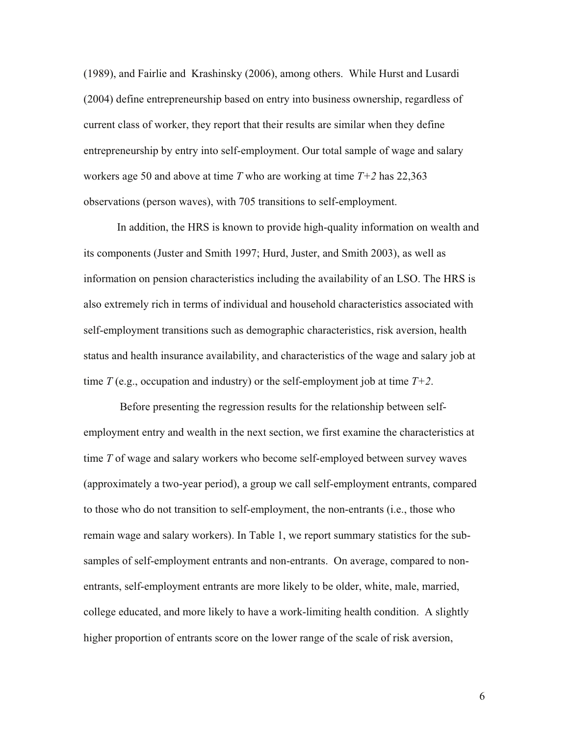(1989), and Fairlie and Krashinsky (2006), among others. While Hurst and Lusardi (2004) define entrepreneurship based on entry into business ownership, regardless of current class of worker, they report that their results are similar when they define entrepreneurship by entry into self-employment. Our total sample of wage and salary workers age 50 and above at time *T* who are working at time *T+2* has 22,363 observations (person waves), with 705 transitions to self-employment.

In addition, the HRS is known to provide high-quality information on wealth and its components (Juster and Smith 1997; Hurd, Juster, and Smith 2003), as well as information on pension characteristics including the availability of an LSO. The HRS is also extremely rich in terms of individual and household characteristics associated with self-employment transitions such as demographic characteristics, risk aversion, health status and health insurance availability, and characteristics of the wage and salary job at time  $T$  (e.g., occupation and industry) or the self-employment job at time  $T+2$ .

 Before presenting the regression results for the relationship between selfemployment entry and wealth in the next section, we first examine the characteristics at time *T* of wage and salary workers who become self-employed between survey waves (approximately a two-year period), a group we call self-employment entrants, compared to those who do not transition to self-employment, the non-entrants (i.e., those who remain wage and salary workers). In Table 1, we report summary statistics for the subsamples of self-employment entrants and non-entrants. On average, compared to nonentrants, self-employment entrants are more likely to be older, white, male, married, college educated, and more likely to have a work-limiting health condition. A slightly higher proportion of entrants score on the lower range of the scale of risk aversion,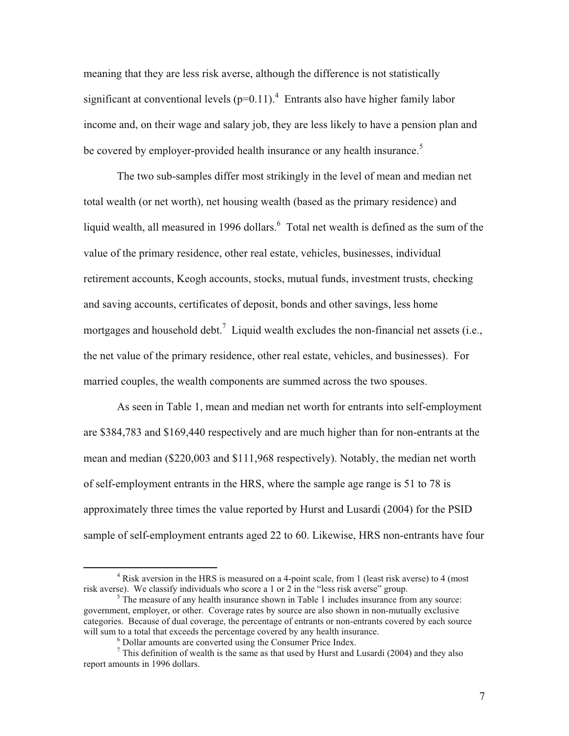meaning that they are less risk averse, although the difference is not statistically significant at conventional levels  $(p=0.11)$ .<sup>4</sup> Entrants also have higher family labor income and, on their wage and salary job, they are less likely to have a pension plan and be covered by employer-provided health insurance or any health insurance.<sup>5</sup>

The two sub-samples differ most strikingly in the level of mean and median net total wealth (or net worth), net housing wealth (based as the primary residence) and liquid wealth, all measured in 1996 dollars. Total net wealth is defined as the sum of the value of the primary residence, other real estate, vehicles, businesses, individual retirement accounts, Keogh accounts, stocks, mutual funds, investment trusts, checking and saving accounts, certificates of deposit, bonds and other savings, less home mortgages and household debt.<sup>7</sup> Liquid wealth excludes the non-financial net assets (i.e., the net value of the primary residence, other real estate, vehicles, and businesses). For married couples, the wealth components are summed across the two spouses.

As seen in Table 1, mean and median net worth for entrants into self-employment are \$384,783 and \$169,440 respectively and are much higher than for non-entrants at the mean and median (\$220,003 and \$111,968 respectively). Notably, the median net worth of self-employment entrants in the HRS, where the sample age range is 51 to 78 is approximately three times the value reported by Hurst and Lusardi (2004) for the PSID sample of self-employment entrants aged 22 to 60. Likewise, HRS non-entrants have four

<sup>&</sup>lt;sup>4</sup> Risk aversion in the HRS is measured on a 4-point scale, from 1 (least risk averse) to 4 (most risk averse). We classify individuals who score a 1 or 2 in the "less risk averse" group. 5

 $5$  The measure of any health insurance shown in Table 1 includes insurance from any source: government, employer, or other. Coverage rates by source are also shown in non-mutually exclusive categories. Because of dual coverage, the percentage of entrants or non-entrants covered by each source will sum to a total that exceeds the percentage covered by any health insurance.

 $<sup>6</sup>$  Dollar amounts are converted using the Consumer Price Index.</sup>

 $\frac{7}{1}$  This definition of wealth is the same as that used by Hurst and Lusardi (2004) and they also report amounts in 1996 dollars.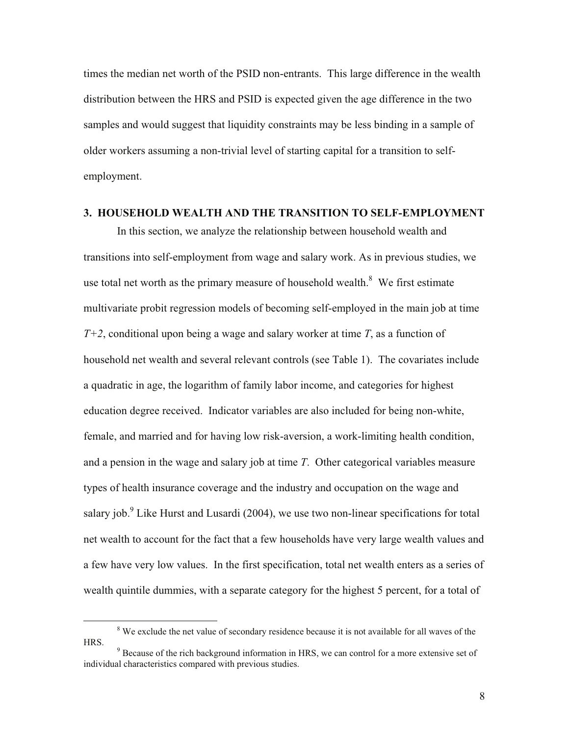times the median net worth of the PSID non-entrants. This large difference in the wealth distribution between the HRS and PSID is expected given the age difference in the two samples and would suggest that liquidity constraints may be less binding in a sample of older workers assuming a non-trivial level of starting capital for a transition to selfemployment.

#### **3. HOUSEHOLD WEALTH AND THE TRANSITION TO SELF-EMPLOYMENT**

In this section, we analyze the relationship between household wealth and transitions into self-employment from wage and salary work. As in previous studies, we use total net worth as the primary measure of household wealth. $8$  We first estimate multivariate probit regression models of becoming self-employed in the main job at time *T+2*, conditional upon being a wage and salary worker at time *T*, as a function of household net wealth and several relevant controls (see Table 1). The covariates include a quadratic in age, the logarithm of family labor income, and categories for highest education degree received. Indicator variables are also included for being non-white, female, and married and for having low risk-aversion, a work-limiting health condition, and a pension in the wage and salary job at time *T*. Other categorical variables measure types of health insurance coverage and the industry and occupation on the wage and salary job.<sup>9</sup> Like Hurst and Lusardi (2004), we use two non-linear specifications for total net wealth to account for the fact that a few households have very large wealth values and a few have very low values. In the first specification, total net wealth enters as a series of wealth quintile dummies, with a separate category for the highest 5 percent, for a total of

<sup>&</sup>lt;sup>8</sup> We exclude the net value of secondary residence because it is not available for all waves of the HRS.

 $\degree$  Because of the rich background information in HRS, we can control for a more extensive set of individual characteristics compared with previous studies.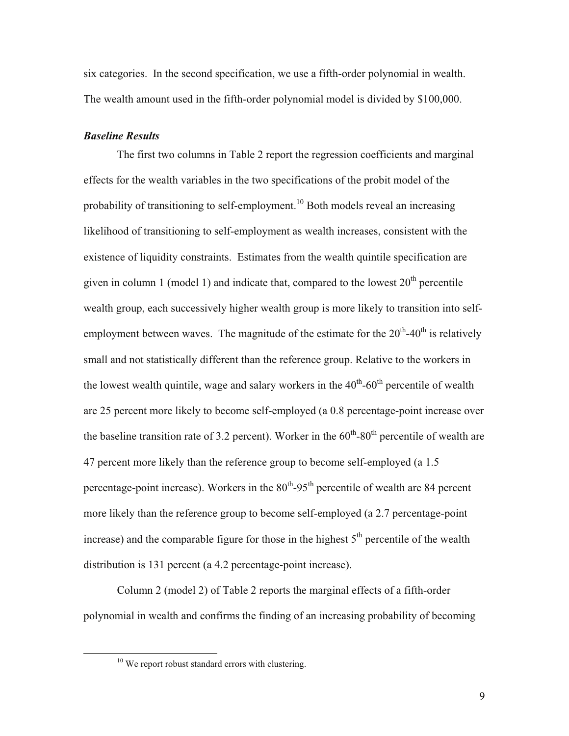six categories. In the second specification, we use a fifth-order polynomial in wealth. The wealth amount used in the fifth-order polynomial model is divided by \$100,000.

#### *Baseline Results*

The first two columns in Table 2 report the regression coefficients and marginal effects for the wealth variables in the two specifications of the probit model of the probability of transitioning to self-employment.<sup>10</sup> Both models reveal an increasing likelihood of transitioning to self-employment as wealth increases, consistent with the existence of liquidity constraints. Estimates from the wealth quintile specification are given in column 1 (model 1) and indicate that, compared to the lowest  $20<sup>th</sup>$  percentile wealth group, each successively higher wealth group is more likely to transition into selfemployment between waves. The magnitude of the estimate for the  $20<sup>th</sup>$ -40<sup>th</sup> is relatively small and not statistically different than the reference group. Relative to the workers in the lowest wealth quintile, wage and salary workers in the  $40^{th}$ -60<sup>th</sup> percentile of wealth are 25 percent more likely to become self-employed (a 0.8 percentage-point increase over the baseline transition rate of 3.2 percent). Worker in the  $60<sup>th</sup>$ -80<sup>th</sup> percentile of wealth are 47 percent more likely than the reference group to become self-employed (a 1.5 percentage-point increase). Workers in the  $80<sup>th</sup>$ -95<sup>th</sup> percentile of wealth are 84 percent more likely than the reference group to become self-employed (a 2.7 percentage-point increase) and the comparable figure for those in the highest  $5<sup>th</sup>$  percentile of the wealth distribution is 131 percent (a 4.2 percentage-point increase).

Column 2 (model 2) of Table 2 reports the marginal effects of a fifth-order polynomial in wealth and confirms the finding of an increasing probability of becoming

<sup>&</sup>lt;sup>10</sup> We report robust standard errors with clustering.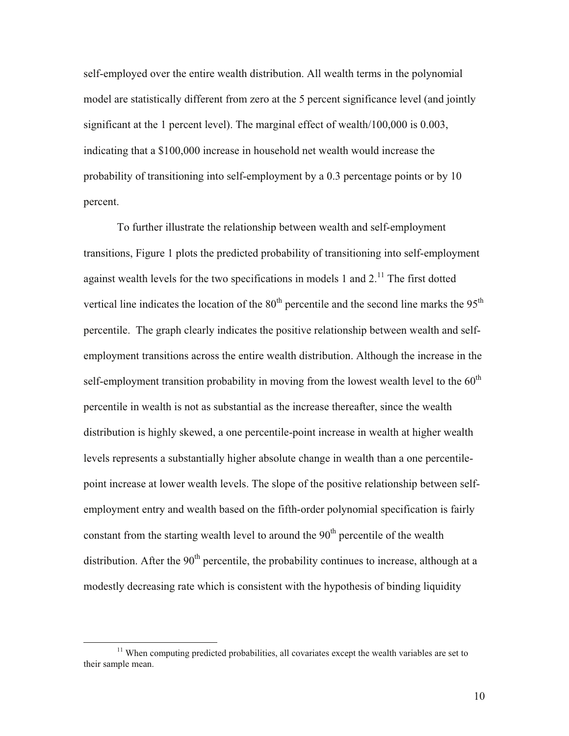self-employed over the entire wealth distribution. All wealth terms in the polynomial model are statistically different from zero at the 5 percent significance level (and jointly significant at the 1 percent level). The marginal effect of wealth/100,000 is 0.003, indicating that a \$100,000 increase in household net wealth would increase the probability of transitioning into self-employment by a 0.3 percentage points or by 10 percent.

To further illustrate the relationship between wealth and self-employment transitions, Figure 1 plots the predicted probability of transitioning into self-employment against wealth levels for the two specifications in models 1 and  $2<sup>11</sup>$ . The first dotted vertical line indicates the location of the  $80<sup>th</sup>$  percentile and the second line marks the  $95<sup>th</sup>$ percentile. The graph clearly indicates the positive relationship between wealth and selfemployment transitions across the entire wealth distribution. Although the increase in the self-employment transition probability in moving from the lowest wealth level to the  $60<sup>th</sup>$ percentile in wealth is not as substantial as the increase thereafter, since the wealth distribution is highly skewed, a one percentile-point increase in wealth at higher wealth levels represents a substantially higher absolute change in wealth than a one percentilepoint increase at lower wealth levels. The slope of the positive relationship between selfemployment entry and wealth based on the fifth-order polynomial specification is fairly constant from the starting wealth level to around the  $90<sup>th</sup>$  percentile of the wealth distribution. After the  $90<sup>th</sup>$  percentile, the probability continues to increase, although at a modestly decreasing rate which is consistent with the hypothesis of binding liquidity

 $11$  When computing predicted probabilities, all covariates except the wealth variables are set to their sample mean.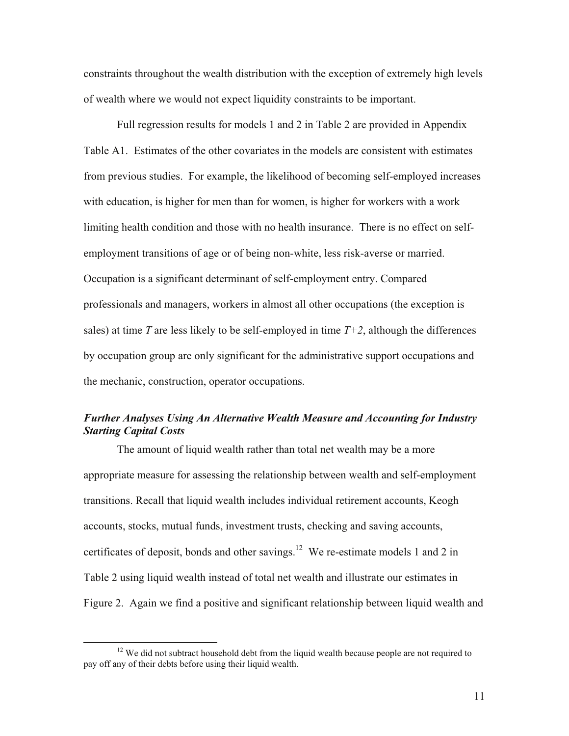constraints throughout the wealth distribution with the exception of extremely high levels of wealth where we would not expect liquidity constraints to be important.

Full regression results for models 1 and 2 in Table 2 are provided in Appendix Table A1. Estimates of the other covariates in the models are consistent with estimates from previous studies. For example, the likelihood of becoming self-employed increases with education, is higher for men than for women, is higher for workers with a work limiting health condition and those with no health insurance. There is no effect on selfemployment transitions of age or of being non-white, less risk-averse or married. Occupation is a significant determinant of self-employment entry. Compared professionals and managers, workers in almost all other occupations (the exception is sales) at time *T* are less likely to be self-employed in time  $T+2$ , although the differences by occupation group are only significant for the administrative support occupations and the mechanic, construction, operator occupations.

# *Further Analyses Using An Alternative Wealth Measure and Accounting for Industry Starting Capital Costs*

The amount of liquid wealth rather than total net wealth may be a more appropriate measure for assessing the relationship between wealth and self-employment transitions. Recall that liquid wealth includes individual retirement accounts, Keogh accounts, stocks, mutual funds, investment trusts, checking and saving accounts, certificates of deposit, bonds and other savings.<sup>12</sup> We re-estimate models 1 and 2 in Table 2 using liquid wealth instead of total net wealth and illustrate our estimates in Figure 2. Again we find a positive and significant relationship between liquid wealth and

 $12$  We did not subtract household debt from the liquid wealth because people are not required to pay off any of their debts before using their liquid wealth.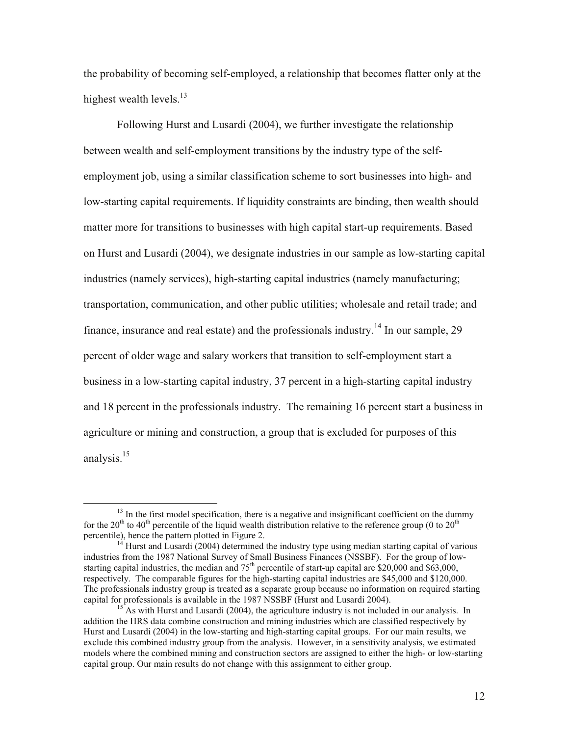the probability of becoming self-employed, a relationship that becomes flatter only at the highest wealth levels.<sup>13</sup>

Following Hurst and Lusardi (2004), we further investigate the relationship between wealth and self-employment transitions by the industry type of the selfemployment job, using a similar classification scheme to sort businesses into high- and low-starting capital requirements. If liquidity constraints are binding, then wealth should matter more for transitions to businesses with high capital start-up requirements. Based on Hurst and Lusardi (2004), we designate industries in our sample as low-starting capital industries (namely services), high-starting capital industries (namely manufacturing; transportation, communication, and other public utilities; wholesale and retail trade; and finance, insurance and real estate) and the professionals industry.<sup>14</sup> In our sample, 29 percent of older wage and salary workers that transition to self-employment start a business in a low-starting capital industry, 37 percent in a high-starting capital industry and 18 percent in the professionals industry. The remaining 16 percent start a business in agriculture or mining and construction, a group that is excluded for purposes of this analysis.<sup>15</sup>

 $13$  In the first model specification, there is a negative and insignificant coefficient on the dummy for the 20<sup>th</sup> to 40<sup>th</sup> percentile of the liquid wealth distribution relative to the reference group (0 to 20<sup>th</sup>) percentile), hence the pattern plotted in Figure 2.<br><sup>14</sup> Hurst and Lusardi (2004) determined the industry type using median starting capital of various

industries from the 1987 National Survey of Small Business Finances (NSSBF). For the group of lowstarting capital industries, the median and  $75<sup>th</sup>$  percentile of start-up capital are \$20,000 and \$63,000, respectively. The comparable figures for the high-starting capital industries are \$45,000 and \$120,000. The professionals industry group is treated as a separate group because no information on required starting capital for professionals is available in the 1987 NSSBF (Hurst and Lusardi 2004).<br><sup>15</sup> As with Hurst and Lusardi (2004), the agriculture industry is not included in our analysis. In

addition the HRS data combine construction and mining industries which are classified respectively by Hurst and Lusardi (2004) in the low-starting and high-starting capital groups. For our main results, we exclude this combined industry group from the analysis. However, in a sensitivity analysis, we estimated models where the combined mining and construction sectors are assigned to either the high- or low-starting capital group. Our main results do not change with this assignment to either group.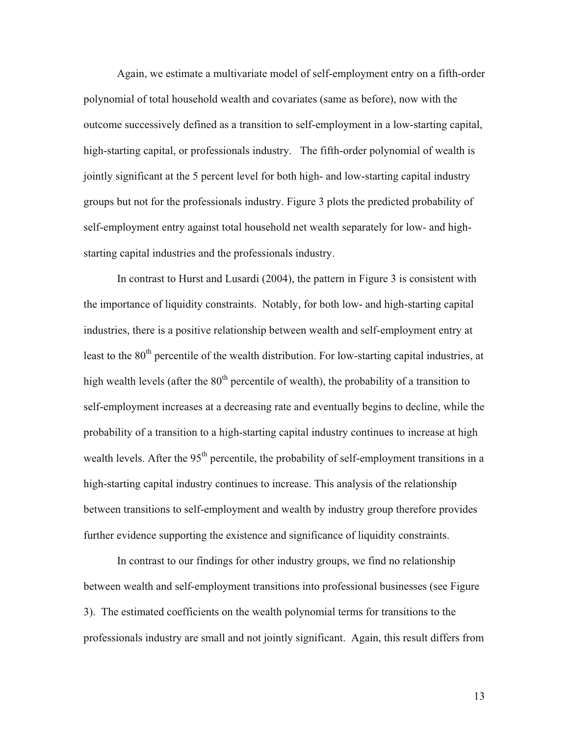Again, we estimate a multivariate model of self-employment entry on a fifth-order polynomial of total household wealth and covariates (same as before), now with the outcome successively defined as a transition to self-employment in a low-starting capital, high-starting capital, or professionals industry. The fifth-order polynomial of wealth is jointly significant at the 5 percent level for both high- and low-starting capital industry groups but not for the professionals industry. Figure 3 plots the predicted probability of self-employment entry against total household net wealth separately for low- and highstarting capital industries and the professionals industry.

In contrast to Hurst and Lusardi (2004), the pattern in Figure 3 is consistent with the importance of liquidity constraints. Notably, for both low- and high-starting capital industries, there is a positive relationship between wealth and self-employment entry at least to the 80<sup>th</sup> percentile of the wealth distribution. For low-starting capital industries, at high wealth levels (after the  $80<sup>th</sup>$  percentile of wealth), the probability of a transition to self-employment increases at a decreasing rate and eventually begins to decline, while the probability of a transition to a high-starting capital industry continues to increase at high wealth levels. After the 95<sup>th</sup> percentile, the probability of self-employment transitions in a high-starting capital industry continues to increase. This analysis of the relationship between transitions to self-employment and wealth by industry group therefore provides further evidence supporting the existence and significance of liquidity constraints.

In contrast to our findings for other industry groups, we find no relationship between wealth and self-employment transitions into professional businesses (see Figure 3). The estimated coefficients on the wealth polynomial terms for transitions to the professionals industry are small and not jointly significant. Again, this result differs from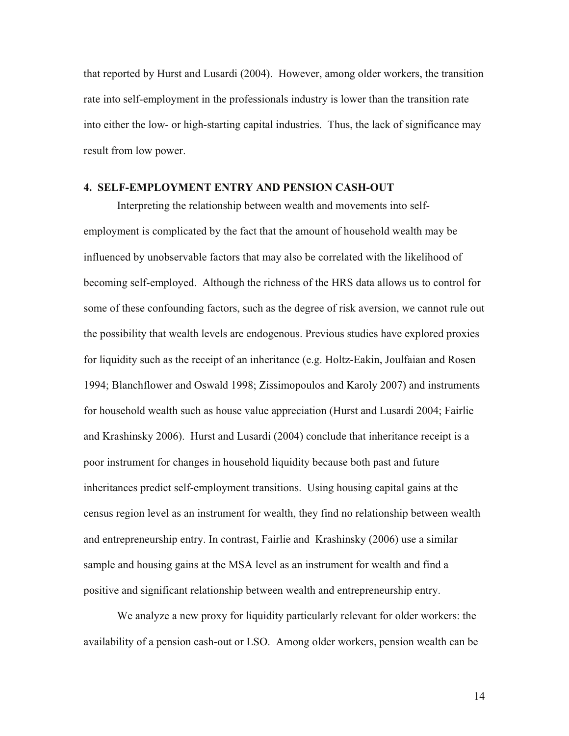that reported by Hurst and Lusardi (2004). However, among older workers, the transition rate into self-employment in the professionals industry is lower than the transition rate into either the low- or high-starting capital industries. Thus, the lack of significance may result from low power.

#### **4. SELF-EMPLOYMENT ENTRY AND PENSION CASH-OUT**

Interpreting the relationship between wealth and movements into selfemployment is complicated by the fact that the amount of household wealth may be influenced by unobservable factors that may also be correlated with the likelihood of becoming self-employed. Although the richness of the HRS data allows us to control for some of these confounding factors, such as the degree of risk aversion, we cannot rule out the possibility that wealth levels are endogenous. Previous studies have explored proxies for liquidity such as the receipt of an inheritance (e.g. Holtz-Eakin, Joulfaian and Rosen 1994; Blanchflower and Oswald 1998; Zissimopoulos and Karoly 2007) and instruments for household wealth such as house value appreciation (Hurst and Lusardi 2004; Fairlie and Krashinsky 2006). Hurst and Lusardi (2004) conclude that inheritance receipt is a poor instrument for changes in household liquidity because both past and future inheritances predict self-employment transitions. Using housing capital gains at the census region level as an instrument for wealth, they find no relationship between wealth and entrepreneurship entry. In contrast, Fairlie and Krashinsky (2006) use a similar sample and housing gains at the MSA level as an instrument for wealth and find a positive and significant relationship between wealth and entrepreneurship entry.

We analyze a new proxy for liquidity particularly relevant for older workers: the availability of a pension cash-out or LSO. Among older workers, pension wealth can be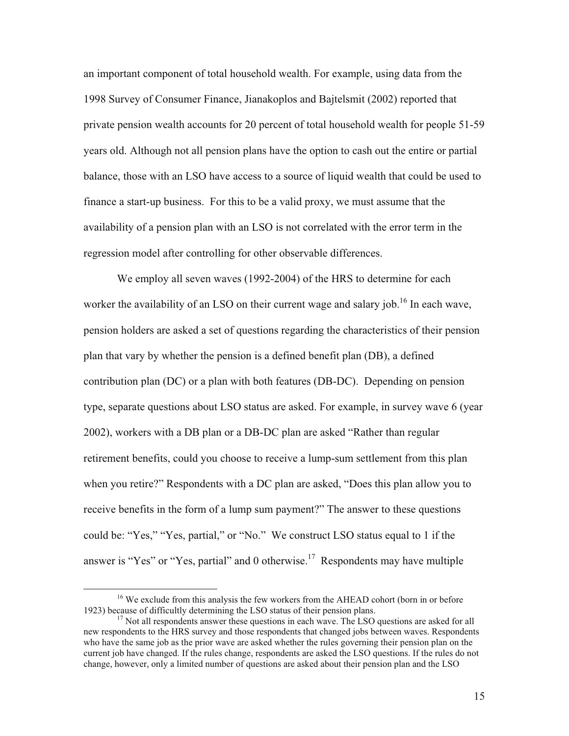an important component of total household wealth. For example, using data from the 1998 Survey of Consumer Finance, Jianakoplos and Bajtelsmit (2002) reported that private pension wealth accounts for 20 percent of total household wealth for people 51-59 years old. Although not all pension plans have the option to cash out the entire or partial balance, those with an LSO have access to a source of liquid wealth that could be used to finance a start-up business. For this to be a valid proxy, we must assume that the availability of a pension plan with an LSO is not correlated with the error term in the regression model after controlling for other observable differences.

We employ all seven waves (1992-2004) of the HRS to determine for each worker the availability of an LSO on their current wage and salary job.<sup>16</sup> In each wave, pension holders are asked a set of questions regarding the characteristics of their pension plan that vary by whether the pension is a defined benefit plan (DB), a defined contribution plan (DC) or a plan with both features (DB-DC). Depending on pension type, separate questions about LSO status are asked. For example, in survey wave 6 (year 2002), workers with a DB plan or a DB-DC plan are asked "Rather than regular retirement benefits, could you choose to receive a lump-sum settlement from this plan when you retire?" Respondents with a DC plan are asked, "Does this plan allow you to receive benefits in the form of a lump sum payment?" The answer to these questions could be: "Yes," "Yes, partial," or "No." We construct LSO status equal to 1 if the answer is "Yes" or "Yes, partial" and 0 otherwise.<sup>17</sup> Respondents may have multiple

<sup>&</sup>lt;sup>16</sup> We exclude from this analysis the few workers from the AHEAD cohort (born in or before 1923) because of difficultly determining the LSO status of their pension plans.

<sup>&</sup>lt;sup>17</sup> Not all respondents answer these questions in each wave. The LSO questions are asked for all new respondents to the HRS survey and those respondents that changed jobs between waves. Respondents who have the same job as the prior wave are asked whether the rules governing their pension plan on the current job have changed. If the rules change, respondents are asked the LSO questions. If the rules do not change, however, only a limited number of questions are asked about their pension plan and the LSO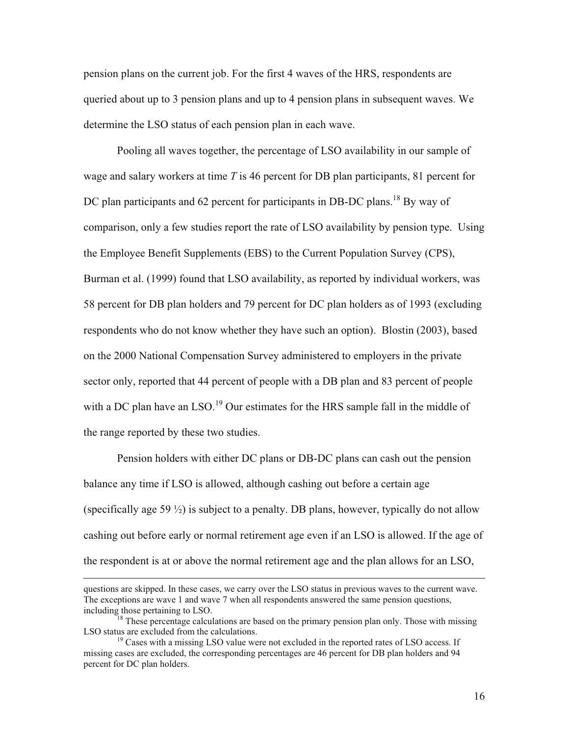pension plans on the current job. For the first 4 waves of the HRS, respondents are queried about up to 3 pension plans and up to 4 pension plans in subsequent waves. We determine the LSO status of each pension plan in each wave.

Pooling all waves together, the percentage of LSO availability in our sample of wage and salary workers at time *T* is 46 percent for DB plan participants, 81 percent for DC plan participants and 62 percent for participants in DB-DC plans.<sup>18</sup> By way of comparison, only a few studies report the rate of LSO availability by pension type. Using the Employee Benefit Supplements (EBS) to the Current Population Survey (CPS), Burman et al. (1999) found that LSO availability, as reported by individual workers, was 58 percent for DB plan holders and 79 percent for DC plan holders as of 1993 (excluding respondents who do not know whether they have such an option). Blostin (2003), based on the 2000 National Compensation Survey administered to employers in the private sector only, reported that 44 percent of people with a DB plan and 83 percent of people with a DC plan have an LSO.<sup>19</sup> Our estimates for the HRS sample fall in the middle of the range reported by these two studies.

Pension holders with either DC plans or DB-DC plans can cash out the pension balance any time if LSO is allowed, although cashing out before a certain age (specifically age 59  $\frac{1}{2}$ ) is subject to a penalty. DB plans, however, typically do not allow cashing out before early or normal retirement age even if an LSO is allowed. If the age of the respondent is at or above the normal retirement age and the plan allows for an LSO,

questions are skipped. In these cases, we carry over the LSO status in previous waves to the current wave. The exceptions are wave 1 and wave 7 when all respondents answered the same pension questions, including those pertaining to LSO.

 $^{18}$  These percentage calculations are based on the primary pension plan only. Those with missing LSO status are excluded from the calculations.

 $19$  Cases with a missing LSO value were not excluded in the reported rates of LSO access. If missing cases are excluded, the corresponding percentages are 46 percent for DB plan holders and 94 percent for DC plan holders.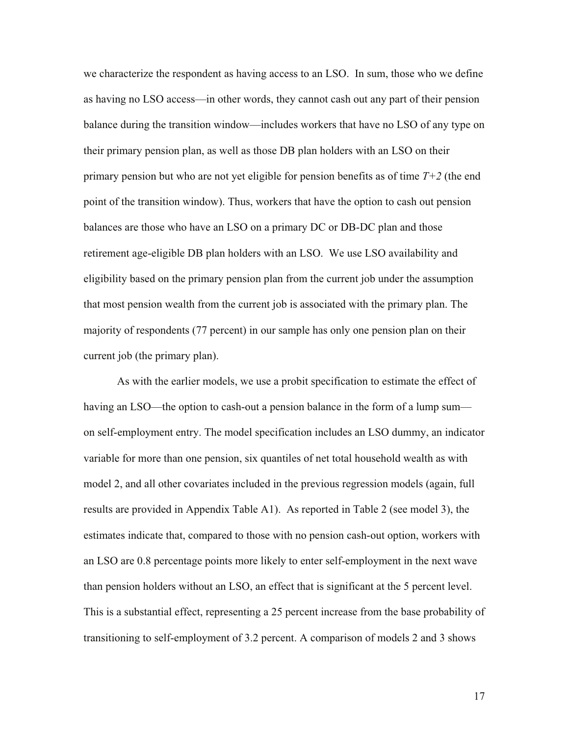we characterize the respondent as having access to an LSO. In sum, those who we define as having no LSO access—in other words, they cannot cash out any part of their pension balance during the transition window—includes workers that have no LSO of any type on their primary pension plan, as well as those DB plan holders with an LSO on their primary pension but who are not yet eligible for pension benefits as of time *T+2* (the end point of the transition window). Thus, workers that have the option to cash out pension balances are those who have an LSO on a primary DC or DB-DC plan and those retirement age-eligible DB plan holders with an LSO. We use LSO availability and eligibility based on the primary pension plan from the current job under the assumption that most pension wealth from the current job is associated with the primary plan. The majority of respondents (77 percent) in our sample has only one pension plan on their current job (the primary plan).

As with the earlier models, we use a probit specification to estimate the effect of having an LSO—the option to cash-out a pension balance in the form of a lump sum on self-employment entry. The model specification includes an LSO dummy, an indicator variable for more than one pension, six quantiles of net total household wealth as with model 2, and all other covariates included in the previous regression models (again, full results are provided in Appendix Table A1). As reported in Table 2 (see model 3), the estimates indicate that, compared to those with no pension cash-out option, workers with an LSO are 0.8 percentage points more likely to enter self-employment in the next wave than pension holders without an LSO, an effect that is significant at the 5 percent level. This is a substantial effect, representing a 25 percent increase from the base probability of transitioning to self-employment of 3.2 percent. A comparison of models 2 and 3 shows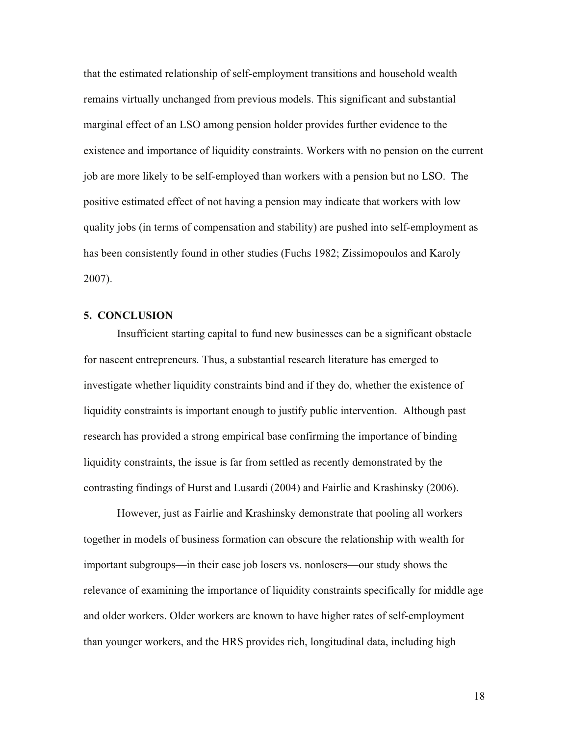that the estimated relationship of self-employment transitions and household wealth remains virtually unchanged from previous models. This significant and substantial marginal effect of an LSO among pension holder provides further evidence to the existence and importance of liquidity constraints. Workers with no pension on the current job are more likely to be self-employed than workers with a pension but no LSO. The positive estimated effect of not having a pension may indicate that workers with low quality jobs (in terms of compensation and stability) are pushed into self-employment as has been consistently found in other studies (Fuchs 1982; Zissimopoulos and Karoly 2007).

## **5. CONCLUSION**

Insufficient starting capital to fund new businesses can be a significant obstacle for nascent entrepreneurs. Thus, a substantial research literature has emerged to investigate whether liquidity constraints bind and if they do, whether the existence of liquidity constraints is important enough to justify public intervention. Although past research has provided a strong empirical base confirming the importance of binding liquidity constraints, the issue is far from settled as recently demonstrated by the contrasting findings of Hurst and Lusardi (2004) and Fairlie and Krashinsky (2006).

However, just as Fairlie and Krashinsky demonstrate that pooling all workers together in models of business formation can obscure the relationship with wealth for important subgroups—in their case job losers vs. nonlosers—our study shows the relevance of examining the importance of liquidity constraints specifically for middle age and older workers. Older workers are known to have higher rates of self-employment than younger workers, and the HRS provides rich, longitudinal data, including high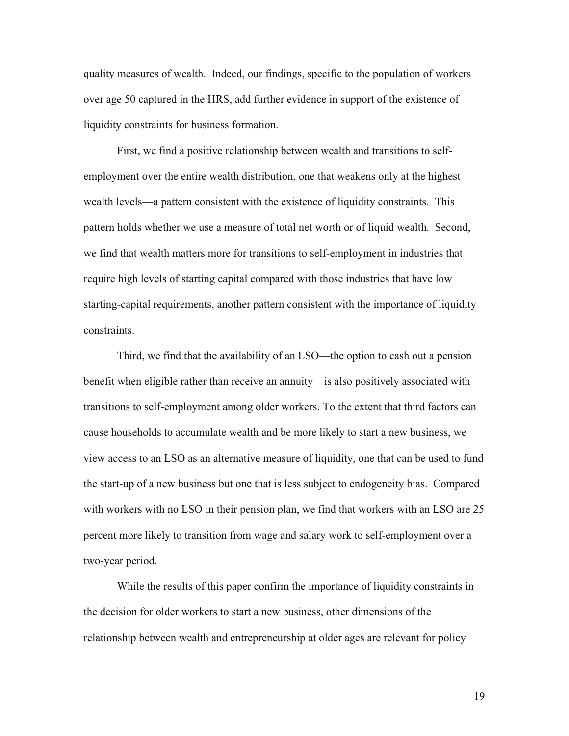quality measures of wealth. Indeed, our findings, specific to the population of workers over age 50 captured in the HRS, add further evidence in support of the existence of liquidity constraints for business formation.

First, we find a positive relationship between wealth and transitions to selfemployment over the entire wealth distribution, one that weakens only at the highest wealth levels—a pattern consistent with the existence of liquidity constraints. This pattern holds whether we use a measure of total net worth or of liquid wealth. Second, we find that wealth matters more for transitions to self-employment in industries that require high levels of starting capital compared with those industries that have low starting-capital requirements, another pattern consistent with the importance of liquidity constraints.

Third, we find that the availability of an LSO—the option to cash out a pension benefit when eligible rather than receive an annuity—is also positively associated with transitions to self-employment among older workers. To the extent that third factors can cause households to accumulate wealth and be more likely to start a new business, we view access to an LSO as an alternative measure of liquidity, one that can be used to fund the start-up of a new business but one that is less subject to endogeneity bias. Compared with workers with no LSO in their pension plan, we find that workers with an LSO are 25 percent more likely to transition from wage and salary work to self-employment over a two-year period.

While the results of this paper confirm the importance of liquidity constraints in the decision for older workers to start a new business, other dimensions of the relationship between wealth and entrepreneurship at older ages are relevant for policy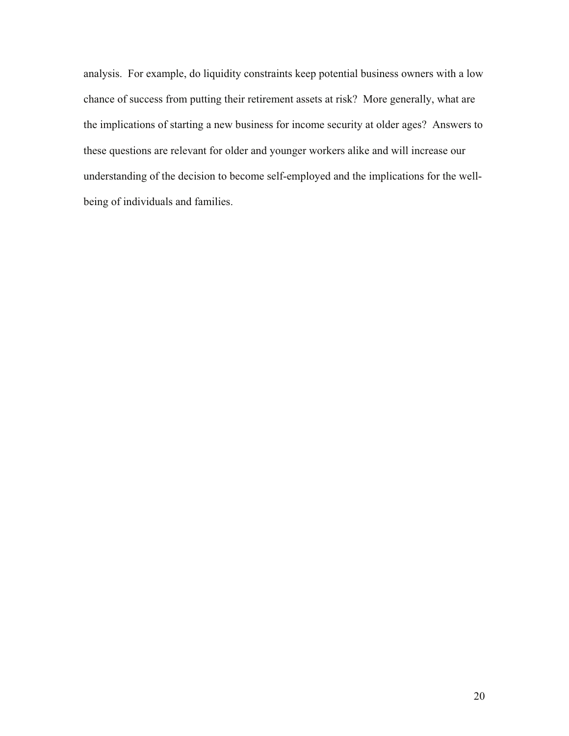analysis. For example, do liquidity constraints keep potential business owners with a low chance of success from putting their retirement assets at risk? More generally, what are the implications of starting a new business for income security at older ages? Answers to these questions are relevant for older and younger workers alike and will increase our understanding of the decision to become self-employed and the implications for the wellbeing of individuals and families.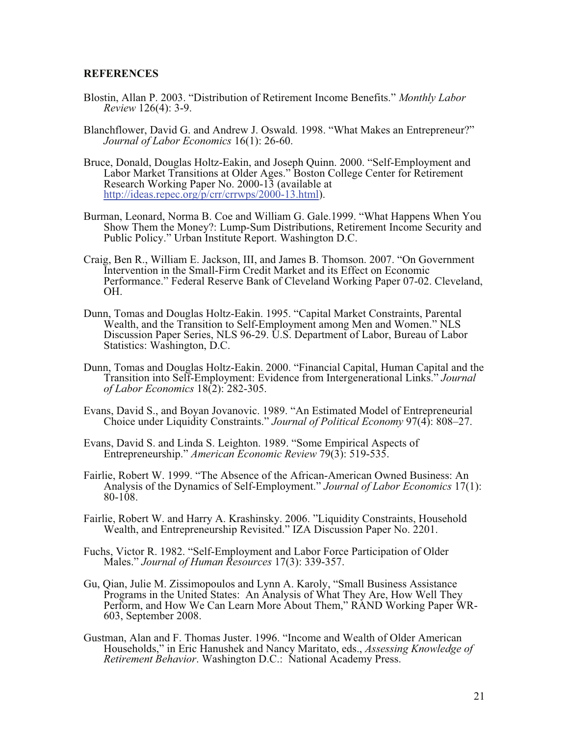#### **REFERENCES**

- Blostin, Allan P. 2003. "Distribution of Retirement Income Benefits." *Monthly Labor Review* 126(4): 3-9.
- Blanchflower, David G. and Andrew J. Oswald. 1998. "What Makes an Entrepreneur?" *Journal of Labor Economics* 16(1): 26-60.
- Bruce, Donald, Douglas Holtz-Eakin, and Joseph Quinn. 2000. "Self-Employment and Labor Market Transitions at Older Ages." Boston College Center for Retirement Research Working Paper No. 2000-13 (available at [http://ideas.repec.org/p/crr/crrwps/2000-13.html\).](http://ideas.repec.org/p/crr/crrwps/2000-13.html)
- Burman, Leonard, Norma B. Coe and William G. Gale.1999. "What Happens When You Show Them the Money?: Lump-Sum Distributions, Retirement Income Security and Public Policy." Urban Institute Report. Washington D.C.
- Craig, Ben R., William E. Jackson, III, and James B. Thomson. 2007. "On Government Intervention in the Small-Firm Credit Market and its Effect on Economic Performance." Federal Reserve Bank of Cleveland Working Paper 07-02. Cleveland, OH.
- Dunn, Tomas and Douglas Holtz-Eakin. 1995. "Capital Market Constraints, Parental Wealth, and the Transition to Self-Employment among Men and Women." NLS Discussion Paper Series, NLS 96-29. U.S. Department of Labor, Bureau of Labor Statistics: Washington, D.C.
- Dunn, Tomas and Douglas Holtz-Eakin. 2000. "Financial Capital, Human Capital and the Transition into Self-Employment: Evidence from Intergenerational Links." *Journal of Labor Economics* 18(2): 282-305.
- Evans, David S., and Boyan Jovanovic. 1989. "An Estimated Model of Entrepreneurial Choice under Liquidity Constraints." *Journal of Political Economy* 97(4): 808–27.
- Evans, David S. and Linda S. Leighton. 1989. "Some Empirical Aspects of Entrepreneurship." *American Economic Review* 79(3): 519-535.
- Fairlie, Robert W. 1999. "The Absence of the African-American Owned Business: An Analysis of the Dynamics of Self-Employment." *Journal of Labor Economics* 17(1): 80-108.
- Fairlie, Robert W. and Harry A. Krashinsky. 2006. "Liquidity Constraints, Household Wealth, and Entrepreneurship Revisited." IZA Discussion Paper No. 2201.
- Fuchs, Victor R. 1982. "Self-Employment and Labor Force Participation of Older Males." *Journal of Human Resources* 17(3): 339-357.
- Gu, Qian, Julie M. Zissimopoulos and Lynn A. Karoly, "Small Business Assistance Programs in the United States: An Analysis of What They Are, How Well They Perform, and How We Can Learn More About Them," RAND Working Paper WR-603, September 2008.
- Gustman, Alan and F. Thomas Juster. 1996. "Income and Wealth of Older American Households," in Eric Hanushek and Nancy Maritato, eds., *Assessing Knowledge of Retirement Behavior*. Washington D.C.: National Academy Press.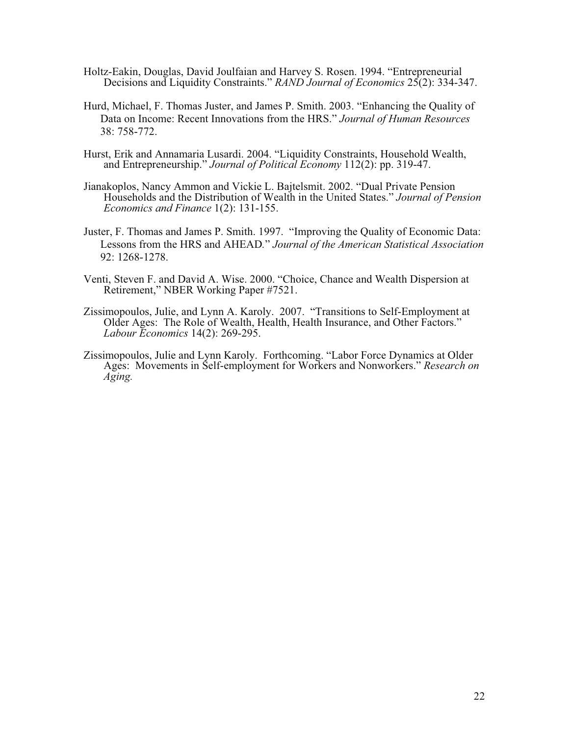- Holtz-Eakin, Douglas, David Joulfaian and Harvey S. Rosen. 1994. "Entrepreneurial Decisions and Liquidity Constraints." *RAND Journal of Economics* 25(2): 334-347.
- Hurd, Michael, F. Thomas Juster, and James P. Smith. 2003. "Enhancing the Quality of Data on Income: Recent Innovations from the HRS." *Journal of Human Resources* 38: 758-772.
- Hurst, Erik and Annamaria Lusardi. 2004. "Liquidity Constraints, Household Wealth, and Entrepreneurship." *Journal of Political Economy* 112(2): pp. 319-47.
- Jianakoplos, Nancy Ammon and Vickie L. Bajtelsmit. 2002. "Dual Private Pension Households and the Distribution of Wealth in the United States." *Journal of Pension Economics and Finance* 1(2): 131-155.
- Juster, F. Thomas and James P. Smith. 1997. "Improving the Quality of Economic Data: Lessons from the HRS and AHEAD*.*" *Journal of the American Statistical Association* 92: 1268-1278.
- Venti, Steven F. and David A. Wise. 2000. "Choice, Chance and Wealth Dispersion at Retirement," NBER Working Paper #7521.
- Zissimopoulos, Julie, and Lynn A. Karoly. 2007. "Transitions to Self-Employment at Older Ages: The Role of Wealth, Health, Health Insurance, and Other Factors." *Labour Economics* 14(2): 269-295.
- Zissimopoulos, Julie and Lynn Karoly. Forthcoming. "Labor Force Dynamics at Older Ages: Movements in Self-employment for Workers and Nonworkers." *Research on Aging.*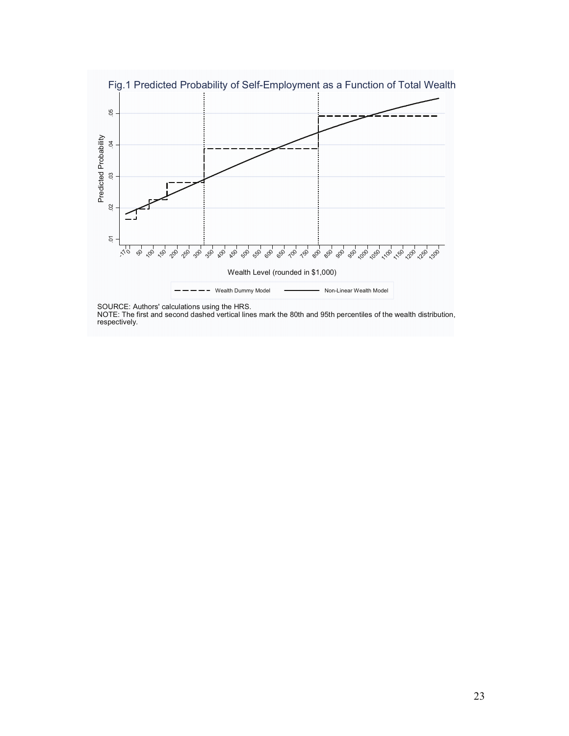

SOURCE: Authors' calculations using the HRS.

NOTE: The first and second dashed vertical lines mark the 80th and 95th percentiles of the wealth distribution, respectively.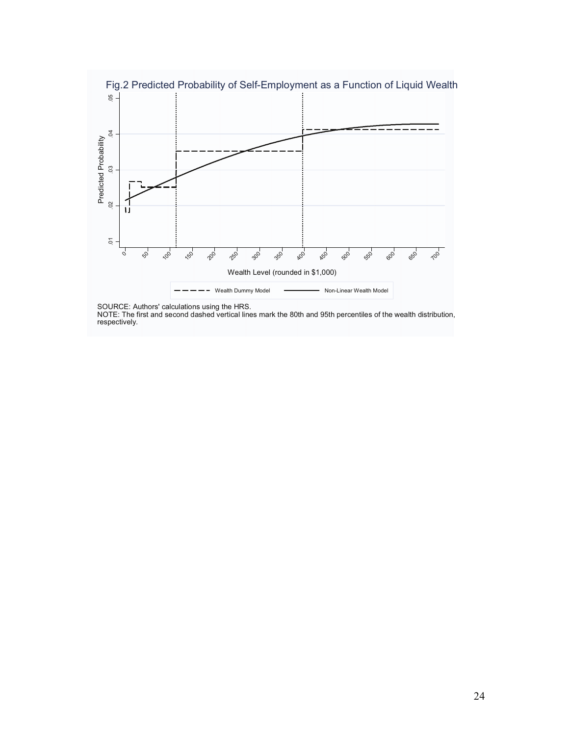

SOURCE: Authors' calculations using the HRS.

NOTE: The first and second dashed vertical lines mark the 80th and 95th percentiles of the wealth distribution, respectively.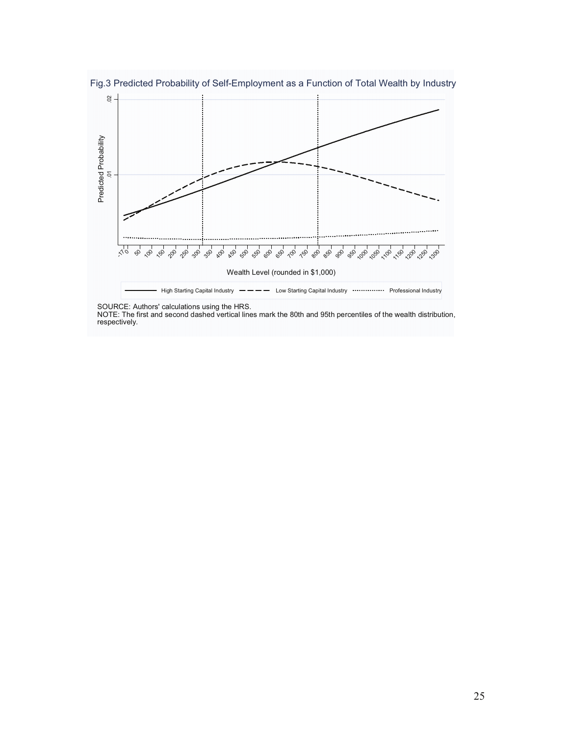

SOURCE: Authors' calculations using the HRS.

NOTE: The first and second dashed vertical lines mark the 80th and 95th percentiles of the wealth distribution, respectively.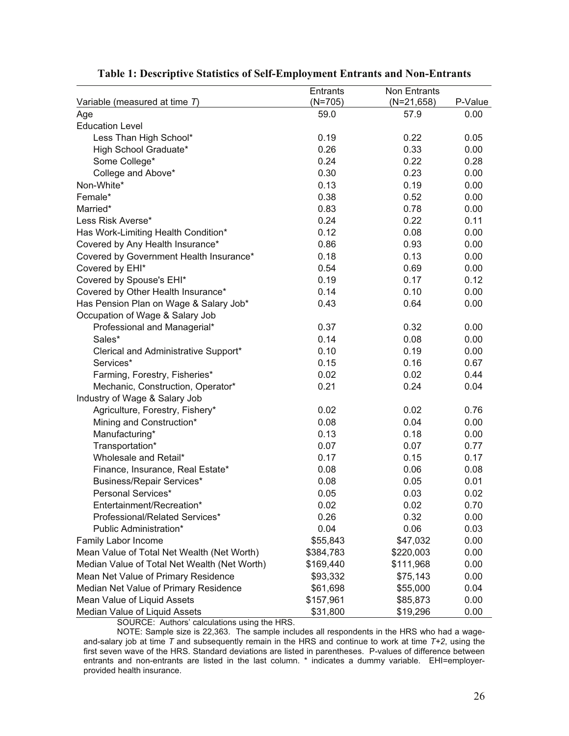|                                              | <b>Entrants</b> | Non Entrants |         |
|----------------------------------------------|-----------------|--------------|---------|
| Variable (measured at time $T$ )             | $(N=705)$       | $(N=21,658)$ | P-Value |
| Age                                          | 59.0            | 57.9         | 0.00    |
| <b>Education Level</b>                       |                 |              |         |
| Less Than High School*                       | 0.19            | 0.22         | 0.05    |
| High School Graduate*                        | 0.26            | 0.33         | 0.00    |
| Some College*                                | 0.24            | 0.22         | 0.28    |
| College and Above*                           | 0.30            | 0.23         | 0.00    |
| Non-White*                                   | 0.13            | 0.19         | 0.00    |
| Female*                                      | 0.38            | 0.52         | 0.00    |
| Married*                                     | 0.83            | 0.78         | 0.00    |
| Less Risk Averse*                            | 0.24            | 0.22         | 0.11    |
| Has Work-Limiting Health Condition*          | 0.12            | 0.08         | 0.00    |
| Covered by Any Health Insurance*             | 0.86            | 0.93         | 0.00    |
| Covered by Government Health Insurance*      | 0.18            | 0.13         | 0.00    |
| Covered by EHI*                              | 0.54            | 0.69         | 0.00    |
| Covered by Spouse's EHI*                     | 0.19            | 0.17         | 0.12    |
| Covered by Other Health Insurance*           | 0.14            | 0.10         | 0.00    |
| Has Pension Plan on Wage & Salary Job*       | 0.43            | 0.64         | 0.00    |
| Occupation of Wage & Salary Job              |                 |              |         |
| Professional and Managerial*                 | 0.37            | 0.32         | 0.00    |
| Sales*                                       | 0.14            | 0.08         | 0.00    |
| Clerical and Administrative Support*         | 0.10            | 0.19         | 0.00    |
| Services*                                    | 0.15            | 0.16         | 0.67    |
| Farming, Forestry, Fisheries*                | 0.02            | 0.02         | 0.44    |
| Mechanic, Construction, Operator*            | 0.21            | 0.24         | 0.04    |
| Industry of Wage & Salary Job                |                 |              |         |
| Agriculture, Forestry, Fishery*              | 0.02            | 0.02         | 0.76    |
| Mining and Construction*                     | 0.08            | 0.04         | 0.00    |
| Manufacturing*                               | 0.13            | 0.18         | 0.00    |
| Transportation*                              | 0.07            | 0.07         | 0.77    |
| Wholesale and Retail*                        | 0.17            | 0.15         | 0.17    |
| Finance, Insurance, Real Estate*             | 0.08            | 0.06         | 0.08    |
| <b>Business/Repair Services*</b>             | 0.08            | 0.05         | 0.01    |
| Personal Services*                           | 0.05            | 0.03         | 0.02    |
| Entertainment/Recreation*                    | 0.02            | 0.02         | 0.70    |
| Professional/Related Services*               | 0.26            | 0.32         | 0.00    |
| Public Administration*                       | 0.04            | 0.06         | 0.03    |
| Family Labor Income                          | \$55,843        | \$47,032     | 0.00    |
| Mean Value of Total Net Wealth (Net Worth)   | \$384,783       | \$220,003    | 0.00    |
| Median Value of Total Net Wealth (Net Worth) | \$169,440       | \$111,968    | 0.00    |
| Mean Net Value of Primary Residence          | \$93,332        | \$75,143     | 0.00    |
| Median Net Value of Primary Residence        | \$61,698        | \$55,000     | 0.04    |
| Mean Value of Liquid Assets                  | \$157,961       | \$85,873     | 0.00    |
| Median Value of Liquid Assets                | \$31,800        | \$19,296     | 0.00    |

# **Table 1: Descriptive Statistics of Self-Employment Entrants and Non-Entrants**

SOURCE: Authors' calculations using the HRS.

NOTE: Sample size is 22,363. The sample includes all respondents in the HRS who had a wageand-salary job at time *T* and subsequently remain in the HRS and continue to work at time *T+2*, using the first seven wave of the HRS. Standard deviations are listed in parentheses. P-values of difference between entrants and non-entrants are listed in the last column. \* indicates a dummy variable. EHI=employerprovided health insurance.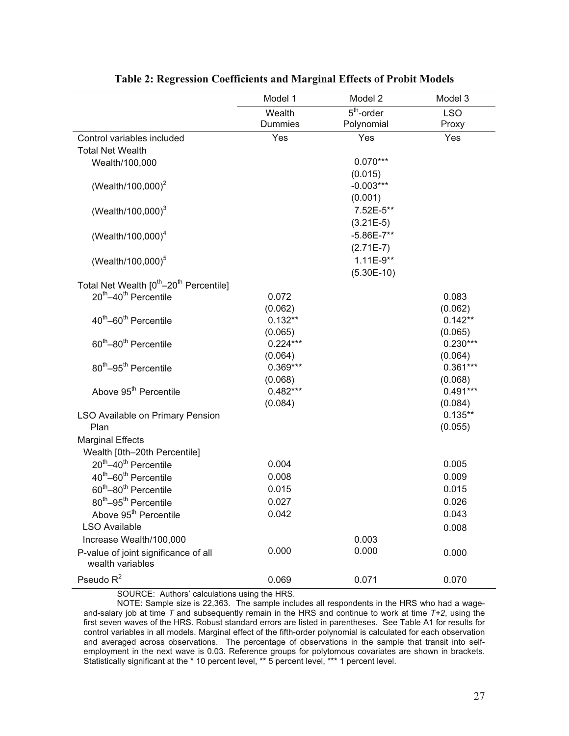|                                                                 | Model 1        | Model 2        | Model 3    |
|-----------------------------------------------------------------|----------------|----------------|------------|
|                                                                 | Wealth         | $5th$ -order   | <b>LSO</b> |
|                                                                 | <b>Dummies</b> | Polynomial     | Proxy      |
| Control variables included                                      | Yes            | Yes            | Yes        |
| <b>Total Net Wealth</b>                                         |                |                |            |
| Wealth/100,000                                                  |                | $0.070***$     |            |
|                                                                 |                | (0.015)        |            |
| (Wealth/100,000) <sup>2</sup>                                   |                | $-0.003***$    |            |
|                                                                 |                | (0.001)        |            |
| (Wealth/100,000) $^{3}$                                         |                | 7.52E-5**      |            |
|                                                                 |                | $(3.21E-5)$    |            |
| (Wealth/100,000) $^{4}$                                         |                | $-5.86E - 7**$ |            |
|                                                                 |                | $(2.71E-7)$    |            |
| (Wealth/100,000) <sup>5</sup>                                   |                | $1.11E-9**$    |            |
|                                                                 |                | $(5.30E-10)$   |            |
| Total Net Wealth [0 <sup>th</sup> -20 <sup>th</sup> Percentile] |                |                |            |
| 20 <sup>th</sup> -40 <sup>th</sup> Percentile                   | 0.072          |                | 0.083      |
|                                                                 | (0.062)        |                | (0.062)    |
| 40 <sup>th</sup> -60 <sup>th</sup> Percentile                   | $0.132**$      |                | $0.142**$  |
|                                                                 | (0.065)        |                | (0.065)    |
| 60 <sup>th</sup> -80 <sup>th</sup> Percentile                   | $0.224***$     |                | $0.230***$ |
|                                                                 | (0.064)        |                | (0.064)    |
| 80 <sup>th</sup> -95 <sup>th</sup> Percentile                   | $0.369***$     |                | $0.361***$ |
|                                                                 | (0.068)        |                | (0.068)    |
| Above 95 <sup>th</sup> Percentile                               | $0.482***$     |                | $0.491***$ |
|                                                                 | (0.084)        |                | (0.084)    |
| LSO Available on Primary Pension                                |                |                | $0.135**$  |
| Plan                                                            |                |                | (0.055)    |
| <b>Marginal Effects</b>                                         |                |                |            |
| Wealth [0th-20th Percentile]                                    |                |                |            |
| 20 <sup>th</sup> -40 <sup>th</sup> Percentile                   | 0.004          |                | 0.005      |
| 40 <sup>th</sup> -60 <sup>th</sup> Percentile                   | 0.008          |                | 0.009      |
| 60 <sup>th</sup> -80 <sup>th</sup> Percentile                   | 0.015          |                | 0.015      |
| 80 <sup>th</sup> -95 <sup>th</sup> Percentile                   | 0.027          |                | 0.026      |
| Above 95 <sup>th</sup> Percentile                               | 0.042          |                | 0.043      |
| <b>LSO Available</b>                                            |                |                | 0.008      |
| Increase Wealth/100,000                                         |                | 0.003          |            |
| P-value of joint significance of all<br>wealth variables        | 0.000          | 0.000          | 0.000      |
| Pseudo $R^2$                                                    | 0.069          | 0.071          | 0.070      |

#### **Table 2: Regression Coefficients and Marginal Effects of Probit Models**

SOURCE: Authors' calculations using the HRS.

NOTE: Sample size is 22,363. The sample includes all respondents in the HRS who had a wageand-salary job at time *T* and subsequently remain in the HRS and continue to work at time *T+2*, using the first seven waves of the HRS. Robust standard errors are listed in parentheses. See Table A1 for results for control variables in all models. Marginal effect of the fifth-order polynomial is calculated for each observation and averaged across observations. The percentage of observations in the sample that transit into selfemployment in the next wave is 0.03. Reference groups for polytomous covariates are shown in brackets. Statistically significant at the \* 10 percent level, \*\* 5 percent level, \*\*\* 1 percent level.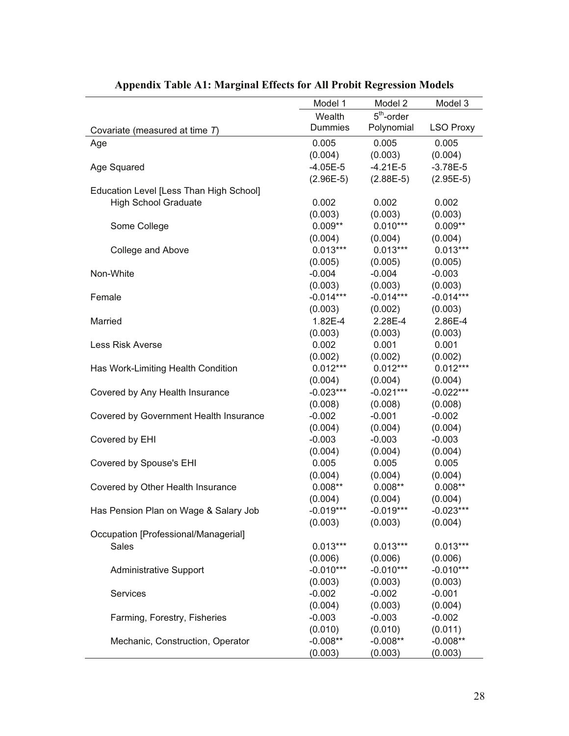|                                         | Model 1               | Model 2               | Model 3          |
|-----------------------------------------|-----------------------|-----------------------|------------------|
|                                         | Wealth                | $5th$ -order          |                  |
| Covariate (measured at time T)          | <b>Dummies</b>        | Polynomial            | <b>LSO Proxy</b> |
| Age                                     | 0.005                 | 0.005                 | 0.005            |
|                                         | (0.004)               | (0.003)               | (0.004)          |
| Age Squared                             | $-4.05E-5$            | $-4.21E-5$            | $-3.78E-5$       |
|                                         | $(2.96E-5)$           | $(2.88E-5)$           | $(2.95E-5)$      |
| Education Level [Less Than High School] |                       |                       |                  |
| <b>High School Graduate</b>             | 0.002                 | 0.002                 | 0.002            |
|                                         | (0.003)               | (0.003)               | (0.003)          |
| Some College                            | $0.009**$             | $0.010***$            | $0.009**$        |
|                                         |                       |                       | (0.004)          |
|                                         | (0.004)<br>$0.013***$ | (0.004)<br>$0.013***$ | $0.013***$       |
| College and Above                       |                       |                       |                  |
|                                         | (0.005)               | (0.005)               | (0.005)          |
| Non-White                               | $-0.004$              | $-0.004$              | $-0.003$         |
|                                         | (0.003)               | (0.003)               | (0.003)          |
| Female                                  | $-0.014***$           | $-0.014***$           | $-0.014***$      |
|                                         | (0.003)               | (0.002)               | (0.003)          |
| Married                                 | 1.82E-4               | 2.28E-4               | 2.86E-4          |
|                                         | (0.003)               | (0.003)               | (0.003)          |
| <b>Less Risk Averse</b>                 | 0.002                 | 0.001                 | 0.001            |
|                                         | (0.002)               | (0.002)               | (0.002)          |
| Has Work-Limiting Health Condition      | $0.012***$            | $0.012***$            | $0.012***$       |
|                                         | (0.004)               | (0.004)               | (0.004)          |
| Covered by Any Health Insurance         | $-0.023***$           | $-0.021***$           | $-0.022***$      |
|                                         | (0.008)               | (0.008)               | (0.008)          |
| Covered by Government Health Insurance  | $-0.002$              | $-0.001$              | $-0.002$         |
|                                         | (0.004)               | (0.004)               | (0.004)          |
| Covered by EHI                          | $-0.003$              | $-0.003$              | $-0.003$         |
|                                         | (0.004)               | (0.004)               | (0.004)          |
| Covered by Spouse's EHI                 | 0.005                 | 0.005                 | 0.005            |
|                                         | (0.004)               | (0.004)               | (0.004)          |
| Covered by Other Health Insurance       | $0.008**$             | $0.008**$             | $0.008**$        |
|                                         | (0.004)               | (0.004)               | (0.004)          |
| Has Pension Plan on Wage & Salary Job   | $-0.019***$           | $-0.019***$           | $-0.023***$      |
|                                         | (0.003)               | (0.003)               | (0.004)          |
| Occupation [Professional/Managerial]    |                       |                       |                  |
| Sales                                   | $0.013***$            | $0.013***$            | $0.013***$       |
|                                         | (0.006)               | (0.006)               | (0.006)          |
| <b>Administrative Support</b>           | $-0.010***$           | $-0.010***$           | $-0.010***$      |
|                                         |                       |                       |                  |
|                                         | (0.003)               | (0.003)               | (0.003)          |
| Services                                | $-0.002$              | $-0.002$              | $-0.001$         |
|                                         | (0.004)               | (0.003)               | (0.004)          |
| Farming, Forestry, Fisheries            | $-0.003$              | $-0.003$              | $-0.002$         |
|                                         | (0.010)               | (0.010)               | (0.011)          |
| Mechanic, Construction, Operator        | $-0.008**$            | $-0.008**$            | $-0.008**$       |
|                                         | (0.003)               | (0.003)               | (0.003)          |

# **Appendix Table A1: Marginal Effects for All Probit Regression Models**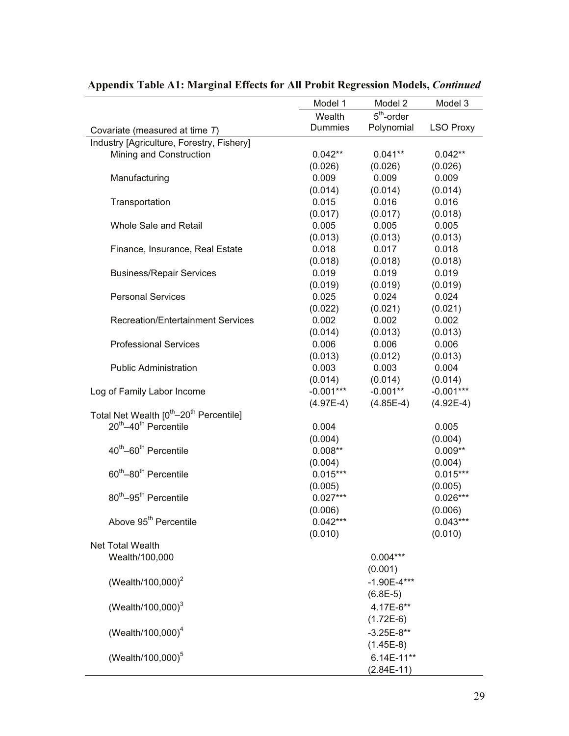|                                                                 | Model 1        | Model 2         | Model 3          |
|-----------------------------------------------------------------|----------------|-----------------|------------------|
|                                                                 | Wealth         | $5th$ -order    |                  |
| Covariate (measured at time T)                                  | <b>Dummies</b> | Polynomial      | <b>LSO Proxy</b> |
| Industry [Agriculture, Forestry, Fishery]                       |                |                 |                  |
| Mining and Construction                                         | $0.042**$      | $0.041**$       | $0.042**$        |
|                                                                 | (0.026)        | (0.026)         | (0.026)          |
| Manufacturing                                                   | 0.009          | 0.009           | 0.009            |
|                                                                 | (0.014)        | (0.014)         | (0.014)          |
| Transportation                                                  | 0.015          | 0.016           | 0.016            |
|                                                                 | (0.017)        | (0.017)         | (0.018)          |
| Whole Sale and Retail                                           | 0.005          | 0.005           | 0.005            |
|                                                                 | (0.013)        | (0.013)         | (0.013)          |
| Finance, Insurance, Real Estate                                 | 0.018          | 0.017           | 0.018            |
|                                                                 | (0.018)        | (0.018)         | (0.018)          |
| <b>Business/Repair Services</b>                                 | 0.019          | 0.019           | 0.019            |
|                                                                 | (0.019)        | (0.019)         | (0.019)          |
| <b>Personal Services</b>                                        | 0.025          | 0.024           | 0.024            |
|                                                                 | (0.022)        | (0.021)         | (0.021)          |
| <b>Recreation/Entertainment Services</b>                        | 0.002          | 0.002           | 0.002            |
|                                                                 | (0.014)        | (0.013)         | (0.013)          |
| <b>Professional Services</b>                                    | 0.006          | 0.006           | 0.006            |
|                                                                 | (0.013)        | (0.012)         | (0.013)          |
| <b>Public Administration</b>                                    | 0.003          | 0.003           | 0.004            |
|                                                                 | (0.014)        | (0.014)         | (0.014)          |
| Log of Family Labor Income                                      | $-0.001***$    | $-0.001**$      | $-0.001***$      |
|                                                                 | $(4.97E-4)$    | $(4.85E-4)$     | $(4.92E-4)$      |
| Total Net Wealth [0 <sup>th</sup> -20 <sup>th</sup> Percentile] |                |                 |                  |
| 20 <sup>th</sup> -40 <sup>th</sup> Percentile                   | 0.004          |                 | 0.005            |
|                                                                 | (0.004)        |                 | (0.004)          |
| 40 <sup>th</sup> -60 <sup>th</sup> Percentile                   | $0.008**$      |                 | $0.009**$        |
|                                                                 | (0.004)        |                 | (0.004)          |
| 60 <sup>th</sup> -80 <sup>th</sup> Percentile                   | $0.015***$     |                 | $0.015***$       |
|                                                                 | (0.005)        |                 | (0.005)          |
| 80 <sup>th</sup> -95 <sup>th</sup> Percentile                   | $0.027***$     |                 | $0.026***$       |
|                                                                 | (0.006)        |                 | (0.006)          |
| Above 95 <sup>th</sup> Percentile                               | $0.042***$     |                 | $0.043***$       |
|                                                                 | (0.010)        |                 | (0.010)          |
| Net Total Wealth                                                |                |                 |                  |
| Wealth/100,000                                                  |                | $0.004***$      |                  |
|                                                                 |                | (0.001)         |                  |
| (Wealth/100,000) <sup>2</sup>                                   |                | $-1.90E - 4***$ |                  |
|                                                                 |                | $(6.8E-5)$      |                  |
| (Wealth/100,000) $^{3}$                                         |                | 4.17E-6**       |                  |
|                                                                 |                | $(1.72E-6)$     |                  |
| (Wealth/100,000) <sup>4</sup>                                   |                | $-3.25E-8**$    |                  |
|                                                                 |                | $(1.45E-8)$     |                  |
| (Wealth/100,000) <sup>5</sup>                                   |                | 6.14E-11**      |                  |
|                                                                 |                | $(2.84E-11)$    |                  |

# **Appendix Table A1: Marginal Effects for All Probit Regression Models,** *Continued*